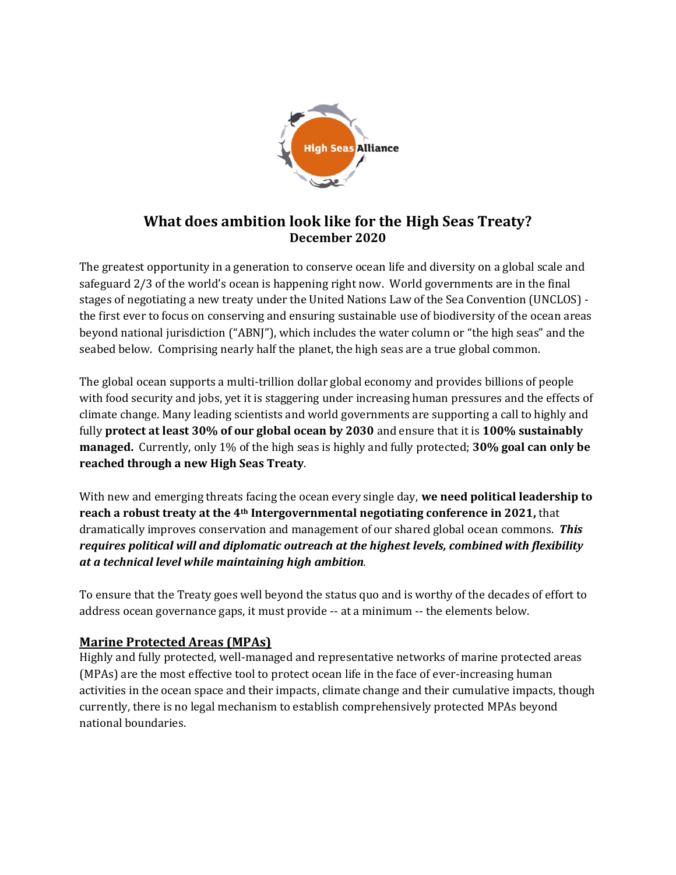

# **What does ambition look like for the High Seas Treaty? December 2020**

The greatest opportunity in a generation to conserve ocean life and diversity on a global scale and safeguard 2/3 of the world's ocean is happening right now. World governments are in the final stages of negotiating a new treaty under the United Nations Law of the Sea Convention (UNCLOS) the first ever to focus on conserving and ensuring sustainable use of biodiversity of the ocean areas beyond national jurisdiction ("ABNJ"), which includes the water column or "the high seas" and the seabed below. Comprising nearly half the planet, the high seas are a true global common.

The global ocean supports a multi-trillion dollar global economy and provides billions of people with food security and jobs, yet it is staggering under increasing human pressures and the effects of climate change. Many leading scientists and world governments are supporting a call to highly and fully **protect at least 30% of our global ocean by 2030** and ensure that it is **100% sustainably managed.** Currently, only 1% of the high seas is highly and fully protected; **30% goal can only be reached through a new High Seas Treaty**.

With new and emerging threats facing the ocean every single day, **we need political leadership to reach a robust treaty at the 4th Intergovernmental negotiating conference in 2021,** that dramatically improves conservation and management of our shared global ocean commons. *This requires political will and diplomatic outreach at the highest levels, combined with flexibility at a technical level while maintaining high ambition.*

To ensure that the Treaty goes well beyond the status quo and is worthy of the decades of effort to address ocean governance gaps, it must provide -- at a minimum -- the elements below.

### **Marine Protected Areas (MPAs)**

Highly and fully protected, well-managed and representative networks of marine protected areas (MPAs) are the most effective tool to protect ocean life in the face of ever-increasing human activities in the ocean space and their impacts, climate change and their cumulative impacts, though currently, there is no legal mechanism to establish comprehensively protected MPAs beyond national boundaries.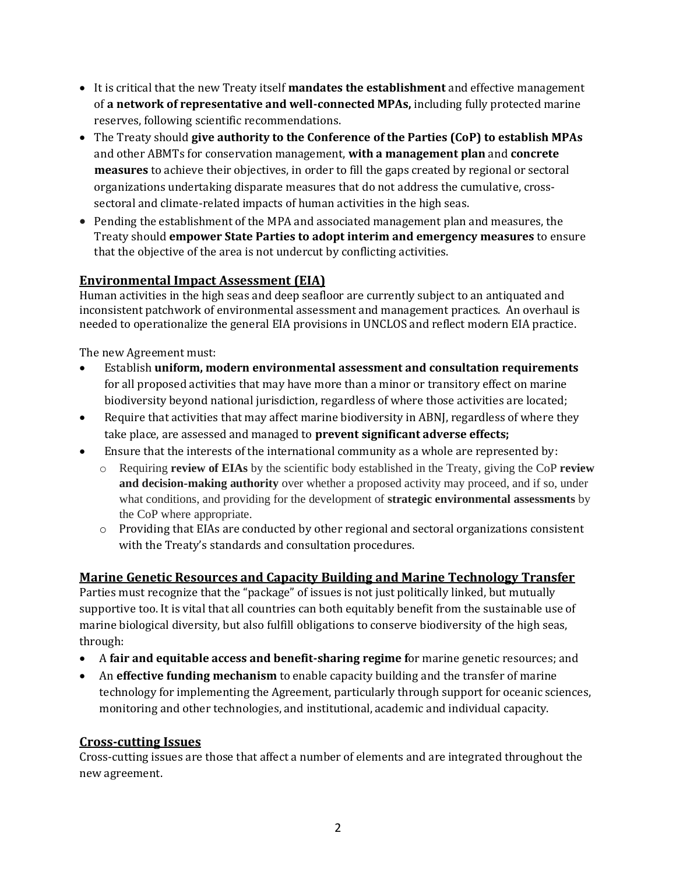- It is critical that the new Treaty itself **mandates the establishment** and effective management of **a network of representative and well-connected MPAs,** including fully protected marine reserves, following scientific recommendations.
- The Treaty should **give authority to the Conference of the Parties (CoP) to establish MPAs** and other ABMTs for conservation management, **with a management plan** and **concrete measures** to achieve their objectives, in order to fill the gaps created by regional or sectoral organizations undertaking disparate measures that do not address the cumulative, crosssectoral and climate-related impacts of human activities in the high seas.
- Pending the establishment of the MPA and associated management plan and measures, the Treaty should **empower State Parties to adopt interim and emergency measures** to ensure that the objective of the area is not undercut by conflicting activities.

### **Environmental Impact Assessment (EIA)**

Human activities in the high seas and deep seafloor are currently subject to an antiquated and inconsistent patchwork of environmental assessment and management practices. An overhaul is needed to operationalize the general EIA provisions in UNCLOS and reflect modern EIA practice.

The new Agreement must:

- Establish **uniform, modern environmental assessment and consultation requirements** for all proposed activities that may have more than a minor or transitory effect on marine biodiversity beyond national jurisdiction, regardless of where those activities are located;
- Require that activities that may affect marine biodiversity in ABNJ, regardless of where they take place, are assessed and managed to **prevent significant adverse effects;**
- Ensure that the interests of the international community as a whole are represented by:
	- o Requiring **review of EIAs** by the scientific body established in the Treaty, giving the CoP **review and decision-making authority** over whether a proposed activity may proceed, and if so, under what conditions, and providing for the development of **strategic environmental assessments** by the CoP where appropriate.
	- o Providing that EIAs are conducted by other regional and sectoral organizations consistent with the Treaty's standards and consultation procedures.

# **Marine Genetic Resources and Capacity Building and Marine Technology Transfer**

Parties must recognize that the "package" of issues is not just politically linked, but mutually supportive too. It is vital that all countries can both equitably benefit from the sustainable use of marine biological diversity, but also fulfill obligations to conserve biodiversity of the high seas, through:

- A **fair and equitable access and benefit-sharing regime f**or marine genetic resources; and
- An **effective funding mechanism** to enable capacity building and the transfer of marine technology for implementing the Agreement, particularly through support for oceanic sciences, monitoring and other technologies, and institutional, academic and individual capacity.

#### **Cross-cutting Issues**

Cross-cutting issues are those that affect a number of elements and are integrated throughout the new agreement.